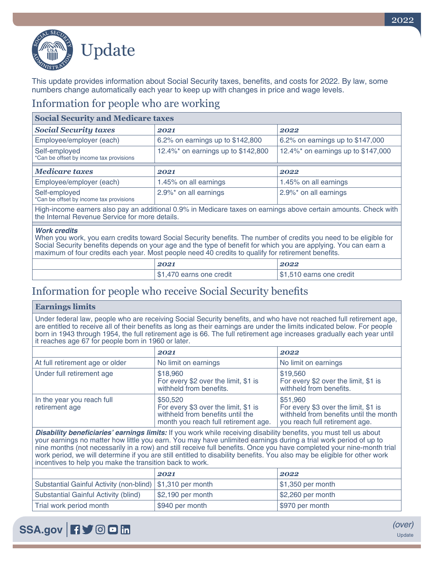

This update provides information about Social Security taxes, benefits, and costs for 2022. By law, some numbers change automatically each year to keep up with changes in price and wage levels.

### Information for people who are working

| <b>Social Security and Medicare taxes</b>                                                                                                                         |                                    |                                    |
|-------------------------------------------------------------------------------------------------------------------------------------------------------------------|------------------------------------|------------------------------------|
| <b>Social Security taxes</b>                                                                                                                                      | 2021                               | 2022                               |
| Employee/employer (each)                                                                                                                                          | 6.2% on earnings up to \$142,800   | 6.2% on earnings up to \$147,000   |
| Self-employed<br>*Can be offset by income tax provisions                                                                                                          | 12.4%* on earnings up to \$142,800 | 12.4%* on earnings up to \$147,000 |
| <b>Medicare taxes</b>                                                                                                                                             | 2021                               | 2022                               |
| Employee/employer (each)                                                                                                                                          | 1.45% on all earnings              | 1.45% on all earnings              |
| Self-employed<br>*Can be offset by income tax provisions                                                                                                          | 2.9%* on all earnings              | 2.9%* on all earnings              |
| High-income earners also pay an additional 0.9% in Medicare taxes on earnings above certain amounts. Check with<br>the Internal Revenue Service for more details. |                                    |                                    |

#### *Work credits*

When you work, you earn credits toward Social Security benefits. The number of credits you need to be eligible for Social Security benefits depends on your age and the type of benefit for which you are applying. You can earn a maximum of four credits each year. Most people need 40 credits to qualify for retirement benefits.

|                  | 2022                     |
|------------------|--------------------------|
| earns one credit | \$1,510 earns one credit |

# Information for people who receive Social Security benefits

#### **Earnings limits**

Under federal law, people who are receiving Social Security benefits, and who have not reached full retirement age, are entitled to receive all of their benefits as long as their earnings are under the limits indicated below. For people born in 1943 through 1954, the full retirement age is 66. The full retirement age increases gradually each year until it reaches age 67 for people born in 1960 or later.

|                                              | 2021                                                                                                                         | 2022                                                                                                                           |
|----------------------------------------------|------------------------------------------------------------------------------------------------------------------------------|--------------------------------------------------------------------------------------------------------------------------------|
| At full retirement age or older              | No limit on earnings                                                                                                         | No limit on earnings                                                                                                           |
| Under full retirement age                    | \$18,960<br>For every \$2 over the limit, \$1 is<br>withheld from benefits.                                                  | \$19,560<br>For every \$2 over the limit, \$1 is<br>withheld from benefits.                                                    |
| In the year you reach full<br>retirement age | \$50,520<br>For every \$3 over the limit, \$1 is<br>withheld from benefits until the<br>month you reach full retirement age. | \$51,960<br>For every \$3 over the limit, \$1 is<br>withheld from benefits until the month  <br>you reach full retirement age. |

**Disability beneficiaries' earnings limits:** If you work while receiving disability benefits, you must tell us about your earnings no matter how little you earn. You may have unlimited earnings during a trial work period of up to nine months (not necessarily in a row) and still receive full benefits. Once you have completed your nine-month trial work period, we will determine if you are still entitled to disability benefits. You also may be eligible for other work incentives to help you make the transition back to work.

|                                                              | 2021               | 2022                            |
|--------------------------------------------------------------|--------------------|---------------------------------|
| Substantial Gainful Activity (non-blind)   \$1,310 per month |                    | $\vert$ \$1,350 per month       |
| Substantial Gainful Activity (blind)                         | $$2,190$ per month | $\frac{1}{2}$ \$2,260 per month |
| Trial work period month                                      | \$940 per month    | \$970 per month                 |